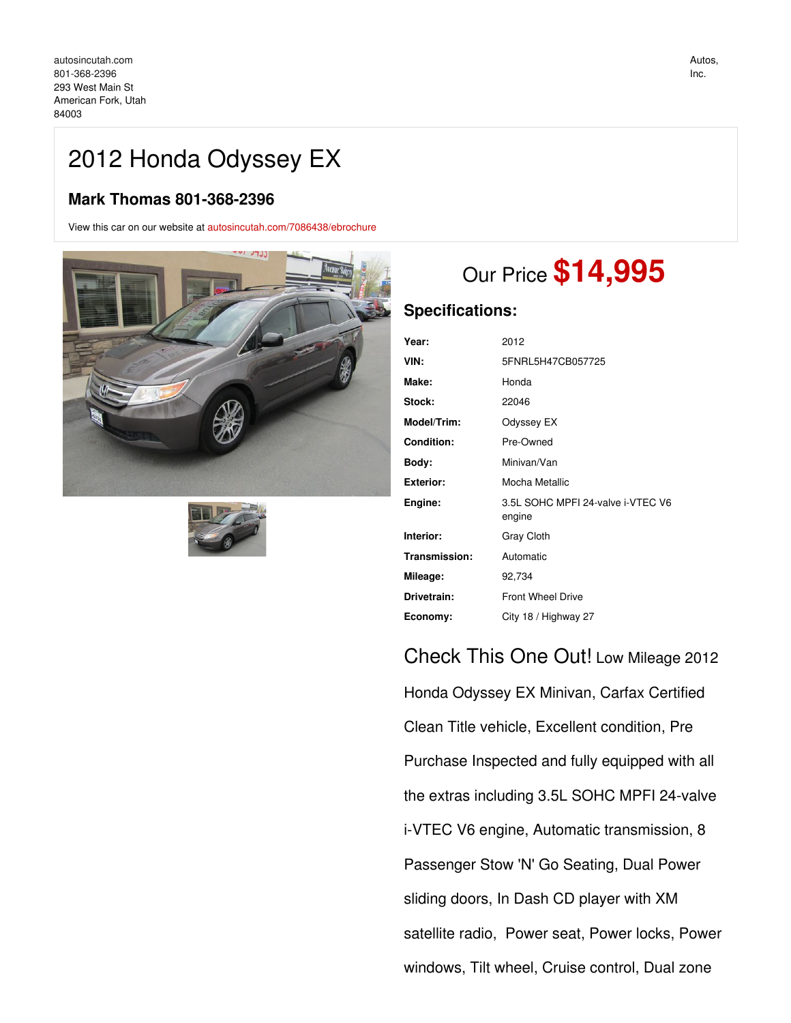# 2012 Honda Odyssey EX

# **Mark Thomas 801-368-2396**

View this car on our website at [autosincutah.com/7086438/ebrochure](https://autosincutah.com/vehicle/7086438/2012-honda-odyssey-ex-american-fork-utah-84003/7086438/ebrochure)





# Our Price **\$14,995**

## **Specifications:**

| Year:             | 2012                                        |
|-------------------|---------------------------------------------|
| VIN:              | 5FNRL5H47CB057725                           |
| Make:             | Honda                                       |
| Stock:            | 22046                                       |
| Model/Trim:       | Odyssey EX                                  |
| <b>Condition:</b> | Pre-Owned                                   |
| Body:             | Minivan/Van                                 |
| <b>Exterior:</b>  | Mocha Metallic                              |
| Engine:           | 3.5L SOHC MPFI 24-valve i-VTEC V6<br>engine |
| Interior:         | Gray Cloth                                  |
| Transmission:     | Automatic                                   |
| Mileage:          | 92,734                                      |
| Drivetrain:       | <b>Front Wheel Drive</b>                    |
| Economy:          | City 18 / Highway 27                        |

# Check This One Out! Low Mileage 2012

Honda Odyssey EX Minivan, Carfax Certified Clean Title vehicle, Excellent condition, Pre Purchase Inspected and fully equipped with all the extras including 3.5L SOHC MPFI 24-valve i-VTEC V6 engine, Automatic transmission, 8 Passenger Stow 'N' Go Seating, Dual Power sliding doors, In Dash CD player with XM satellite radio, Power seat, Power locks, Power windows, Tilt wheel, Cruise control, Dual zone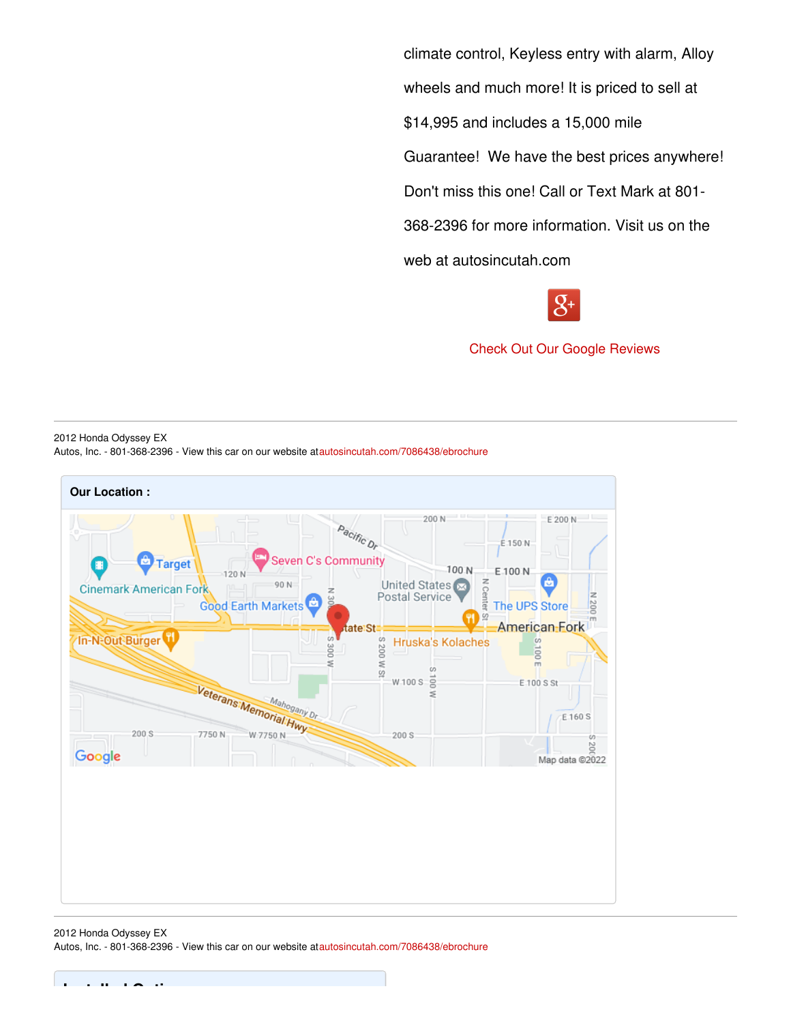climate control, Keyless entry with alarm, Alloy wheels and much more! It is priced to sell at \$14,995 and includes a 15,000 mile Guarantee! We have the best prices anywhere! Don't miss this one! Call or Text Mark at 801- 368-2396 for more information. Visit us on the web at autosincutah.com



Check Out Our Google [Reviews](https://goo.gl/8uQi3A)

2012 Honda Odyssey EX Autos, Inc. - 801-368-2396 - View this car on our website at[autosincutah.com/7086438/ebrochure](https://autosincutah.com/vehicle/7086438/2012-honda-odyssey-ex-american-fork-utah-84003/7086438/ebrochure)



2012 Honda Odyssey EX Autos, Inc. - 801-368-2396 - View this car on our website at[autosincutah.com/7086438/ebrochure](https://autosincutah.com/vehicle/7086438/2012-honda-odyssey-ex-american-fork-utah-84003/7086438/ebrochure)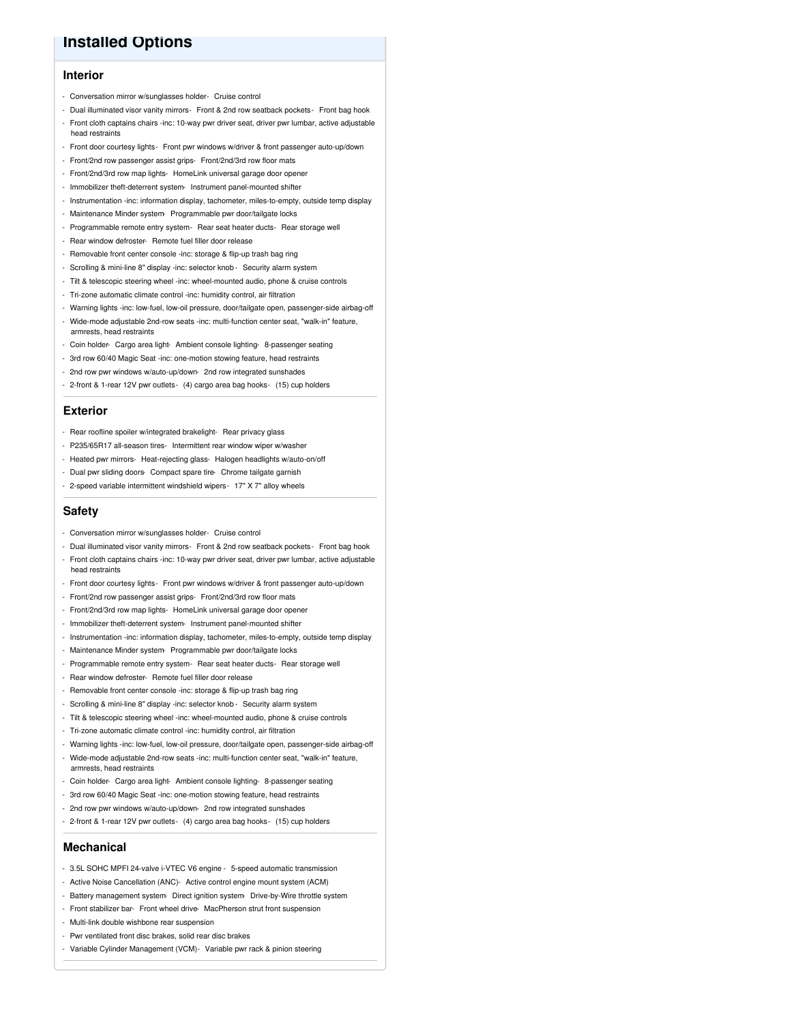## **Installed Options**

#### **Interior**

- Conversation mirror w/sunglasses holder- Cruise control
- Dual illuminated visor vanity mirrors- Front & 2nd row seatback pockets- Front bag hook - Front cloth captains chairs -inc: 10-way pwr driver seat, driver pwr lumbar, active adjustable
- head restraints
- Front door courtesy lights- Front pwr windows w/driver & front passenger auto-up/down
- Front/2nd row passenger assist grips- Front/2nd/3rd row floor mats
- Front/2nd/3rd row map lights- HomeLink universal garage door opener
- Immobilizer theft-deterrent system- Instrument panel-mounted shifter
- Instrumentation -inc: information display, tachometer, miles-to-empty, outside temp display
- Maintenance Minder system- Programmable pwr door/tailgate locks
- Programmable remote entry system- Rear seat heater ducts- Rear storage well
- Rear window defroster- Remote fuel filler door release
- Removable front center console -inc: storage & flip-up trash bag ring
- Scrolling & mini-line 8" display -inc: selector knob Security alarm system
- Tilt & telescopic steering wheel -inc: wheel-mounted audio, phone & cruise controls
- Tri-zone automatic climate control -inc: humidity control, air filtration
- Warning lights -inc: low-fuel, low-oil pressure, door/tailgate open, passenger-side airbag-off
- Wide-mode adjustable 2nd-row seats -inc: multi-function center seat, "walk-in" feature, armrests, head restraints
- Coin holder- Cargo area light- Ambient console lighting- 8-passenger seating
- 3rd row 60/40 Magic Seat -inc: one-motion stowing feature, head restraints
- 2nd row pwr windows w/auto-up/down- 2nd row integrated sunshades
- 2-front & 1-rear 12V pwr outlets- (4) cargo area bag hooks- (15) cup holders

#### **Exterior**

- Rear roofline spoiler w/integrated brakelight- Rear privacy glass
- P235/65R17 all-season tires- Intermittent rear window wiper w/washer
- Heated pwr mirrors- Heat-rejecting glass- Halogen headlights w/auto-on/off
- Dual pwr sliding doors- Compact spare tire- Chrome tailgate garnish
- 2-speed variable intermittent windshield wipers- 17" X 7" alloy wheels

#### **Safety**

- Conversation mirror w/sunglasses holder- Cruise control
- Dual illuminated visor vanity mirrors- Front & 2nd row seatback pockets- Front bag hook
- Front cloth captains chairs -inc: 10-way pwr driver seat, driver pwr lumbar, active adjustable head restraints
- Front door courtesy lights- Front pwr windows w/driver & front passenger auto-up/down
- Front/2nd row passenger assist grips- Front/2nd/3rd row floor mats
- Front/2nd/3rd row map lights- HomeLink universal garage door opener
- Immobilizer theft-deterrent system- Instrument panel-mounted shifter
- Instrumentation -inc: information display, tachometer, miles-to-empty, outside temp display
- Maintenance Minder system- Programmable pwr door/tailgate locks
- Programmable remote entry system- Rear seat heater ducts- Rear storage well
- Rear window defroster- Remote fuel filler door release
- Removable front center console -inc: storage & flip-up trash bag ring
- Scrolling & mini-line 8" display -inc: selector knob Security alarm system
- Tilt & telescopic steering wheel -inc: wheel-mounted audio, phone & cruise controls
- Tri-zone automatic climate control -inc: humidity control, air filtration
- Warning lights -inc: low-fuel, low-oil pressure, door/tailgate open, passenger-side airbag-off - Wide-mode adjustable 2nd-row seats -inc: multi-function center seat, "walk-in" feature,
- armrests, head restraints
- Coin holder- Cargo area light- Ambient console lighting- 8-passenger seating
- 3rd row 60/40 Magic Seat -inc: one-motion stowing feature, head restraints
- 2nd row pwr windows w/auto-up/down- 2nd row integrated sunshades
- 2-front & 1-rear 12V pwr outlets- (4) cargo area bag hooks- (15) cup holders

### **Mechanical**

- 3.5L SOHC MPFI 24-valve i-VTEC V6 engine 5-speed automatic transmission
- Active Noise Cancellation (ANC)- Active control engine mount system (ACM)
- Battery management system- Direct ignition system- Drive-by-Wire throttle system
- Front stabilizer bar- Front wheel drive- MacPherson strut front suspension
- Multi-link double wishbone rear suspension
- Pwr ventilated front disc brakes, solid rear disc brakes
- Variable Cylinder Management (VCM)- Variable pwr rack & pinion steering